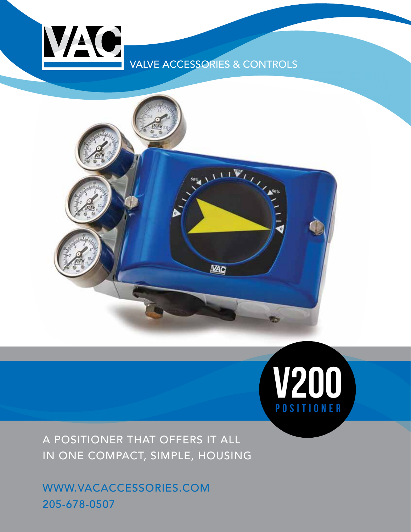## VALVE ACCESSORIES & CONTROLS

VAC





A POSITIONER THAT OFFERS IT ALL IN ONE COMPACT, SIMPLE, HOUSING

WWW.VACACCESSORIES.COM 205-678-0507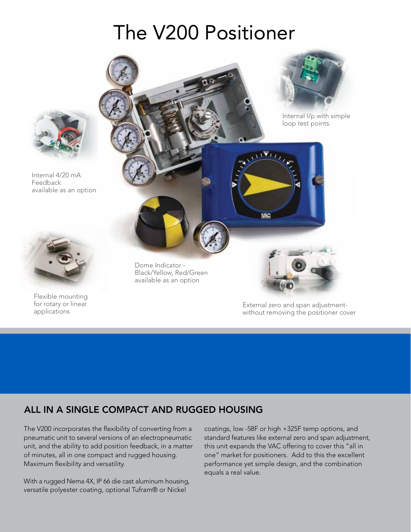# The V200 Positioner



Internal 4/20 mA Feedback available as an option



Flexible mounting for rotary or linear applications

Dome Indicator - Black/Yellow, Red/Green available as an option

> External zero and span adjustmentwithout removing the positioner cover

Internal I/p with simple loop test points.

 $\mathbf{U}$ VII

**VAC** 

## ALL IN A SINGLE COMPACT AND RUGGED HOUSING

The V200 incorporates the flexibility of converting from a pneumatic unit to several versions of an electropneumatic unit, and the ability to add position feedback, in a matter of minutes, all in one compact and rugged housing. Maximum flexibility and versatility.

With a rugged Nema 4X, IP 66 die cast aluminum housing, versatile polyester coating, optional Tufram® or Nickel

coatings, low -58F or high +325F temp options, and standard features like external zero and span adjustment, this unit expands the VAC offering to cover this "all in one" market for positioners. Add to this the excellent performance yet simple design, and the combination equals a real value.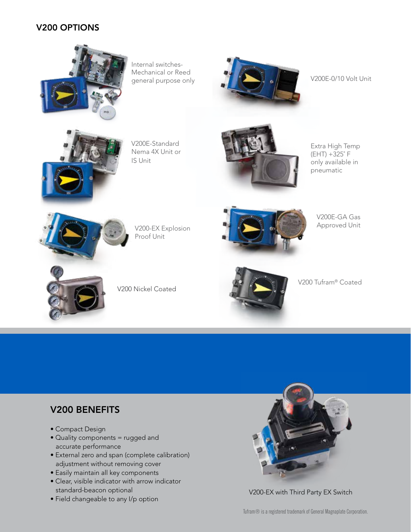#### V200 OPTIONS



Internal switches-Mechanical or Reed general purpose only



V200E-0/10 Volt Unit



V200E-Standard Nema 4X Unit or IS Unit



Extra High Temp (EHT) +325˚ F only available in pneumatic



V200-EX Explosion Proof Unit

V200 Nickel Coated



V200E-GA Gas Approved Unit



V200 Tufram® Coated

## V200 BENEFITS

- Compact Design
- Quality components = rugged and accurate performance
- External zero and span (complete calibration) adjustment without removing cover
- Easily maintain all key components
- Clear, visible indicator with arrow indicator standard-beacon optional
- Field changeable to any I/p option



V200-EX with Third Party EX Switch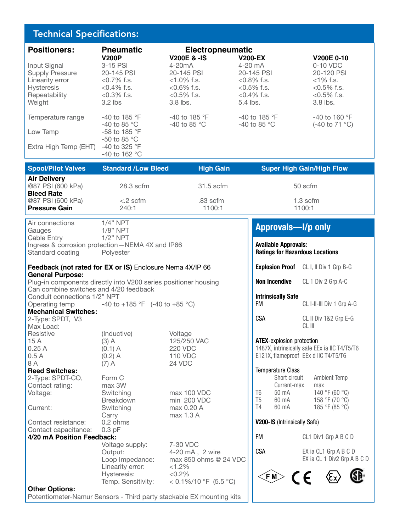#### Technical Specifications:

| <b>Positioners:</b>    | <b>Pneumatic</b>         | <b>Electropneumatic</b> |                        |                 |
|------------------------|--------------------------|-------------------------|------------------------|-----------------|
|                        | <b>V200P</b>             | <b>V200E &amp; -IS</b>  | <b>V200-EX</b>         | V200E 0-10      |
| Input Signal           | $3-15$ PSI               | $4-20mA$                | $4-20$ mA              | 0-10 VDC        |
| <b>Supply Pressure</b> | 20-145 PSI               | 20-145 PSI              | 20-145 PSI             | 20-120 PSI      |
| Linearity error        | $< 0.7\%$ f.s.           | $<1.0\%$ f.s.           | $< 0.8\%$ f.s.         | $<$ 1% f.s.     |
| <b>Hysteresis</b>      | $< 0.4\%$ f.s.           | $< 0.6\%$ f.s.          | $< 0.5\%$ f.s.         | $< 0.5\%$ f.s.  |
| Repeatability          | $< 0.3\%$ f.s.           | $< 0.5\%$ f.s.          | $< 0.4\%$ f.s.         | $< 0.5\%$ f.s.  |
| Weight                 | $3.2$ lbs                | $3.8$ lbs.              | $5.4$ lbs.             | $3.8$ lbs.      |
|                        |                          |                         |                        |                 |
| Temperature range      | $-40$ to 185 °F          | -40 to 185 °F           | $-40$ to 185 °F        | $-40$ to 160 °F |
|                        | -40 to 85 $^{\circ}$ C   | -40 to 85 $^{\circ}$ C  | -40 to 85 $^{\circ}$ C | (-40 to 71 °C)  |
| Low Temp               | $-58$ to 185 $\degree$ F |                         |                        |                 |
|                        | $-50$ to 85 °C           |                         |                        |                 |
| Extra High Temp (EHT)  | $-40$ to 325 °F          |                         |                        |                 |
|                        | -40 to 162 $^{\circ}$ C  |                         |                        |                 |
|                        |                          |                         |                        |                 |

| <b>Standard /Low Bleed</b> | <b>High Gain</b>                 | <b>Super High Gain/High Flow</b> |
|----------------------------|----------------------------------|----------------------------------|
|                            |                                  |                                  |
|                            |                                  | 50 scfm                          |
|                            |                                  | $1.3$ scfm                       |
|                            |                                  | 1100:1                           |
|                            | 28.3 scfm<br>$< 2$ scfm<br>240:1 | 31.5 scfm<br>.83 scfm<br>1100:1  |

Air connections 1/4" NPT Gauges 1/8" NPT Cable Entry 1/2" NPT Ingress & corrosion protection—NEMA 4X and IP66 Standard coating Polyester

#### **Feedback (not rated for EX or IS)** Enclosure Nema 4X/IP 66 **General Purpose:**

Plug-in components directly into V200 series positioner housing Can combine switches and 4/20 feedback Conduit connections 1/2" NPT Operating temp  $-40$  to  $+185$  °F  $(-40$  to  $+85$  °C) **Mechanical Switches:** 2-Type: SPDT, V3

| Max Load:             |             |                |
|-----------------------|-------------|----------------|
| Resistive             | (Inductive) | Voltage        |
| 15A                   | $(3)$ A     | 125/250 VAC    |
| 0.25A                 | $(0.1)$ A   | <b>220 VDC</b> |
| 0.5A                  | $(0.2)$ A   | 110 VDC        |
| 8 A                   | $(7)$ A     | 24 VDC         |
| <b>Reed Switches:</b> |             |                |
| 2-Type: SPDT-CO,      | Form C      |                |

Contact rating: max 3W Voltage: Switching max 100 VDC

Current: Switching max 0.20 A Carry max 1.3 A<br>0.2 ohms Contact resistance: Contact capacitance: 0.3 pF

Breakdown min 200 VDC

**4/20 mA Position Feedback:**

Voltage supply: 7-30 VDC Output: 4-20 mA, 2 wire Linearity error: Hysteresis: <0.2% Temp. Sensitivity:  $< 0.1\%/10\degree F$  (5.5  $\degree C$ )

Loop Impedance: max 850 ohms @ 24 VDC<br>Linearity error: <1.2%

### **Approvals—I/p only**

**Available Approvals: Ratings for Hazardous Locations Explosion Proof** CL I, II Div 1 Grp B-G

| Non Incendive                          | CL 1 Div 2 Grp A-C        |
|----------------------------------------|---------------------------|
| <b>Intrinsically Safe</b><br><b>FM</b> | CL I-II-III Div 1 Grp A-G |
| CSA                                    | CL II Div 1&2 Grp E-G     |

#### **ATEX**-explosion protection

1487X, intrinsically safe EEx ia IIC T4/T5/T6 E121X, flameproof EEx d IIC T4/T5/T6

#### Temperature Class

|    | Short circuit | <b>Ambient Temp</b> |
|----|---------------|---------------------|
|    | Current-max   | max                 |
| T6 | 50 mA         | 140 °F (60 °C)      |
| Т5 | 60 mA         | 158 °F (70 °C)      |
| T4 | 60 mA         | 185 °F (85 °C)      |
|    |               |                     |

**V200-IS** (Intrinsically Safe)

FM CL1 Div1 Grp A B C D

CSA EX ia CL1 Grp A B C D

EX ia CL 1 Div2 Grp A B C D



#### **Other Options:**

Potentiometer-Namur Sensors - Third party stackable EX mounting kits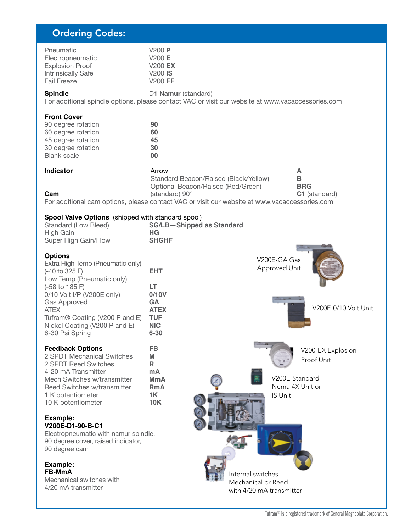## Ordering Codes:

| Pneumatic                 | V200P          |
|---------------------------|----------------|
| Electropneumatic          | V200 E         |
| <b>Explosion Proof</b>    | <b>V200 EX</b> |
| <b>Intrinsically Safe</b> | $V200$ IS      |
| <b>Fail Freeze</b>        | $V200$ FF      |

**Spindle D1 Namur** (standard) For additional spindle options, please contact VAC or visit our website at www.vacaccessories.com

#### **Front Cover**

| 90 degree rotation | 90 |
|--------------------|----|
| 60 degree rotation | 60 |
| 45 degree rotation | 45 |
| 30 degree rotation | 30 |
| <b>Blank scale</b> | 00 |
|                    |    |

| Indicator                                                                                     | Arrow                                 | А                    |  |
|-----------------------------------------------------------------------------------------------|---------------------------------------|----------------------|--|
|                                                                                               | Standard Beacon/Raised (Black/Yellow) | в                    |  |
|                                                                                               | Optional Beacon/Raised (Red/Green)    | <b>BRG</b>           |  |
| Cam                                                                                           | (standard) $90^\circ$                 | <b>C1</b> (standard) |  |
| For additional cam options, please contact VAC or visit our website at www.vacaccessories.com |                                       |                      |  |

#### **Spool Valve Options** (shipped with standard spool)

| <b>Spoor varve Options</b> (Shipped With Standard Spoor)<br>Standard (Low Bleed)                                                                                                                                                                                                          | <b>SG/LB-Shipped as Standard</b>                                                       |                                              |                                 |
|-------------------------------------------------------------------------------------------------------------------------------------------------------------------------------------------------------------------------------------------------------------------------------------------|----------------------------------------------------------------------------------------|----------------------------------------------|---------------------------------|
| High Gain                                                                                                                                                                                                                                                                                 | HG                                                                                     |                                              |                                 |
| Super High Gain/Flow                                                                                                                                                                                                                                                                      | <b>SHGHF</b>                                                                           |                                              |                                 |
| <b>Options</b><br>Extra High Temp (Pneumatic only)<br>$(-40 \text{ to } 325 \text{ F})$<br>Low Temp (Pneumatic only)<br>(-58 to 185 F)<br>0/10 Volt I/P (V200E only)<br>Gas Approved<br><b>ATEX</b><br>Tufram® Coating (V200 P and E)<br>Nickel Coating (V200 P and E)<br>6-30 Psi Spring | <b>EHT</b><br>LT<br>0/10V<br>GA<br><b>ATEX</b><br><b>TUF</b><br><b>NIC</b><br>$6 - 30$ | V200E-GA Gas<br>Approved Unit                | V200E-0/10 Volt Unit            |
| <b>Feedback Options</b><br>2 SPDT Mechanical Switches<br>2 SPDT Reed Switches                                                                                                                                                                                                             | <b>FB</b><br>M<br>R                                                                    |                                              | V200-EX Explosion<br>Proof Unit |
| 4-20 mA Transmitter<br>Mech Switches w/transmitter<br>Reed Switches w/transmitter<br>1 K potentiometer<br>10 K potentiometer                                                                                                                                                              | mA<br><b>MmA</b><br><b>RmA</b><br>1K<br><b>10K</b>                                     | V200E-Standard<br>Nema 4X Unit or<br>IS Unit |                                 |
| Example:<br>V200E-D1-90-B-C1                                                                                                                                                                                                                                                              |                                                                                        |                                              |                                 |
| Electropneumatic with namur spindle,<br>90 degree cover, raised indicator,<br>90 degree cam                                                                                                                                                                                               |                                                                                        |                                              |                                 |
| Example:<br><b>FB-MmA</b>                                                                                                                                                                                                                                                                 |                                                                                        |                                              |                                 |
| Mechanical switches with                                                                                                                                                                                                                                                                  |                                                                                        | Internal switches-<br>Mechanical or Reed     |                                 |
| 4/20 mA transmitter                                                                                                                                                                                                                                                                       |                                                                                        | with 4/20 mA transmitter                     |                                 |
|                                                                                                                                                                                                                                                                                           |                                                                                        |                                              |                                 |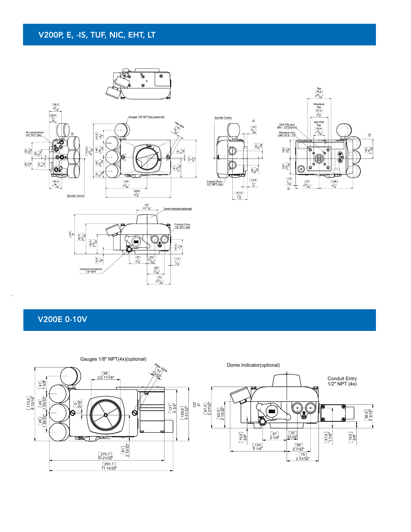### V200P, E, -IS, TUF, NIC, EHT, LT









#### V200E 0-10V

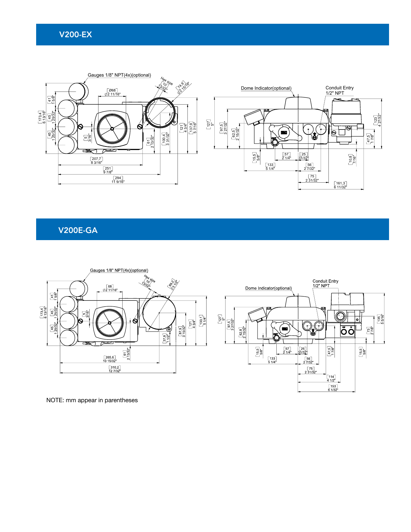#### V200-EX



V200E-GA



NOTE: mm appear in parentheses